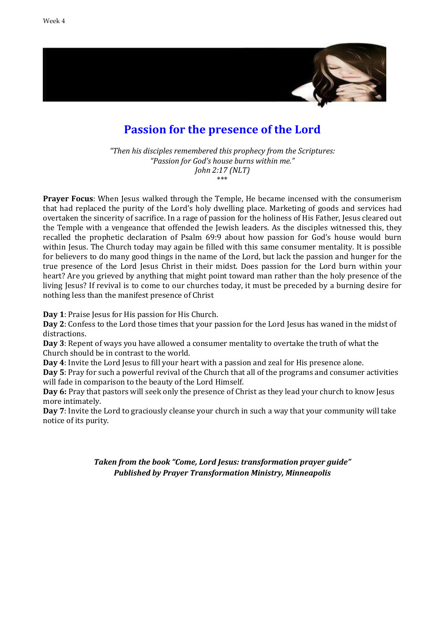

## **Passion for the presence of the Lord**

*"Then his disciples remembered this prophecy from the Scriptures: "Passion for God's house burns within me." John 2:17 (NLT)* \*\*\*

**Prayer Focus**: When Jesus walked through the Temple, He became incensed with the consumerism that had replaced the purity of the Lord's holy dwelling place. Marketing of goods and services had overtaken the sincerity of sacrifice. In a rage of passion for the holiness of His Father, Jesus cleared out the Temple with a vengeance that offended the Jewish leaders. As the disciples witnessed this, they recalled the prophetic declaration of Psalm 69:9 about how passion for God's house would burn within Jesus. The Church today may again be filled with this same consumer mentality. It is possible for believers to do many good things in the name of the Lord, but lack the passion and hunger for the true presence of the Lord Jesus Christ in their midst. Does passion for the Lord burn within your heart? Are you grieved by anything that might point toward man rather than the holy presence of the living Jesus? If revival is to come to our churches today, it must be preceded by a burning desire for nothing less than the manifest presence of Christ

**Day 1**: Praise Jesus for His passion for His Church.

**Day 2**: Confess to the Lord those times that your passion for the Lord Jesus has waned in the midst of distractions.

**Day 3**: Repent of ways you have allowed a consumer mentality to overtake the truth of what the Church should be in contrast to the world.

**Day 4**: Invite the Lord Jesus to fill your heart with a passion and zeal for His presence alone.

**Day 5**: Pray for such a powerful revival of the Church that all of the programs and consumer activities will fade in comparison to the beauty of the Lord Himself.

**Day 6:** Pray that pastors will seek only the presence of Christ as they lead your church to know Jesus more intimately.

**Day 7**: Invite the Lord to graciously cleanse your church in such a way that your community will take notice of its purity.

> *Taken from the book "Come, Lord Jesus: transformation prayer guide" Published by Prayer Transformation Ministry, Minneapolis*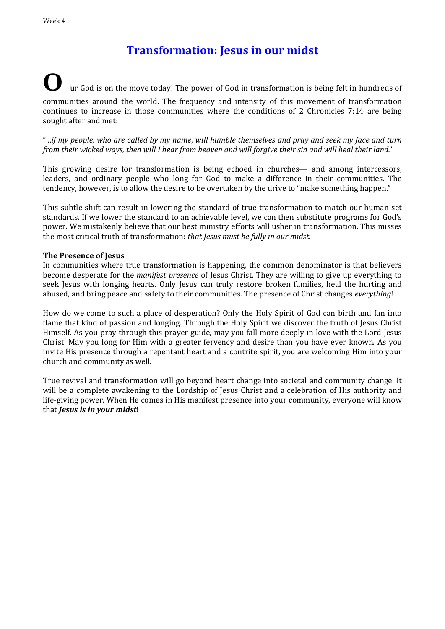# **Transformation: Jesus in our midst**

### **O** ur God is on the move today! The power of God in transformation is being felt in hundreds of communities around the world. The frequency and intensity of this movement of transformation continues to increase in those communities where the conditions of 2 Chronicles 7:14 are being sought after and met:

"...*if my people, who are called by my name, will humble themselves and pray and seek my face and turn from their wicked ways, then will I hear from heaven and will forgive their sin and will heal their land."*

This growing desire for transformation is being echoed in churches— and among intercessors, leaders, and ordinary people who long for God to make a difference in their communities. The tendency, however, is to allow the desire to be overtaken by the drive to "make something happen."

This subtle shift can result in lowering the standard of true transformation to match our human-set standards. If we lower the standard to an achievable level, we can then substitute programs for God's power. We mistakenly believe that our best ministry efforts will usher in transformation. This misses the most critical truth of transformation: *that Jesus must be fully in our midst.*

#### **The Presence of Jesus**

In communities where true transformation is happening, the common denominator is that believers become desperate for the *manifest presence* of Jesus Christ. They are willing to give up everything to seek Jesus with longing hearts. Only Jesus can truly restore broken families, heal the hurting and abused, and bring peace and safety to their communities. The presence of Christ changes *everything*!

How do we come to such a place of desperation? Only the Holy Spirit of God can birth and fan into flame that kind of passion and longing. Through the Holy Spirit we discover the truth of Jesus Christ Himself. As you pray through this prayer guide, may you fall more deeply in love with the Lord Jesus Christ. May you long for Him with a greater fervency and desire than you have ever known. As you invite His presence through a repentant heart and a contrite spirit, you are welcoming Him into your church and community as well.

True revival and transformation will go beyond heart change into societal and community change. It will be a complete awakening to the Lordship of Jesus Christ and a celebration of His authority and life-giving power. When He comes in His manifest presence into your community, everyone will know that *Jesus is in your midst*!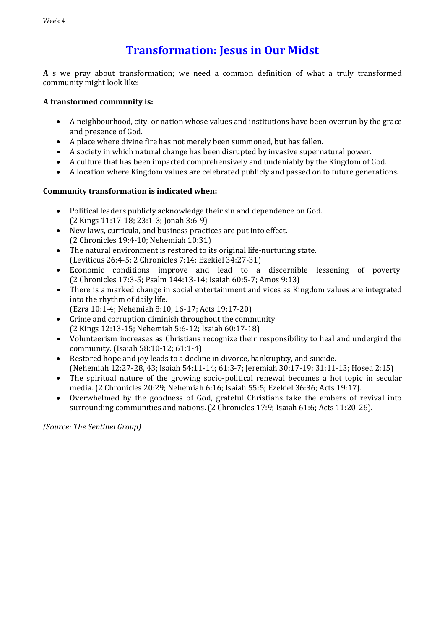# **Transformation: Jesus in Our Midst**

**A** s we pray about transformation; we need a common definition of what a truly transformed community might look like:

#### **A transformed community is:**

- A neighbourhood, city, or nation whose values and institutions have been overrun by the grace and presence of God.
- A place where divine fire has not merely been summoned, but has fallen.
- A society in which natural change has been disrupted by invasive supernatural power.
- A culture that has been impacted comprehensively and undeniably by the Kingdom of God.
- A location where Kingdom values are celebrated publicly and passed on to future generations.

#### **Community transformation is indicated when:**

- Political leaders publicly acknowledge their sin and dependence on God. (2 Kings 11:17-18; 23:1-3; Jonah 3:6-9)
- New laws, curricula, and business practices are put into effect. (2 Chronicles 19:4-10; Nehemiah 10:31)
- The natural environment is restored to its original life-nurturing state. (Leviticus 26:4-5; 2 Chronicles 7:14; Ezekiel 34:27-31)
- Economic conditions improve and lead to a discernible lessening of poverty. (2 Chronicles 17:3-5; Psalm 144:13-14; Isaiah 60:5-7; Amos 9:13)
- There is a marked change in social entertainment and vices as Kingdom values are integrated into the rhythm of daily life.
	- (Ezra 10:1-4; Nehemiah 8:10, 16-17; Acts 19:17-20)
- Crime and corruption diminish throughout the community. (2 Kings 12:13-15; Nehemiah 5:6-12; Isaiah 60:17-18)
- Volunteerism increases as Christians recognize their responsibility to heal and undergird the community. (Isaiah 58:10-12; 61:1-4)
- Restored hope and joy leads to a decline in divorce, bankruptcy, and suicide. (Nehemiah 12:27-28, 43; Isaiah 54:11-14; 61:3-7; Jeremiah 30:17-19; 31:11-13; Hosea 2:15)
- The spiritual nature of the growing socio-political renewal becomes a hot topic in secular media. (2 Chronicles 20:29; Nehemiah 6:16; Isaiah 55:5; Ezekiel 36:36; Acts 19:17).
- Overwhelmed by the goodness of God, grateful Christians take the embers of revival into surrounding communities and nations. (2 Chronicles 17:9; Isaiah 61:6; Acts 11:20-26).

*(Source: The Sentinel Group)*